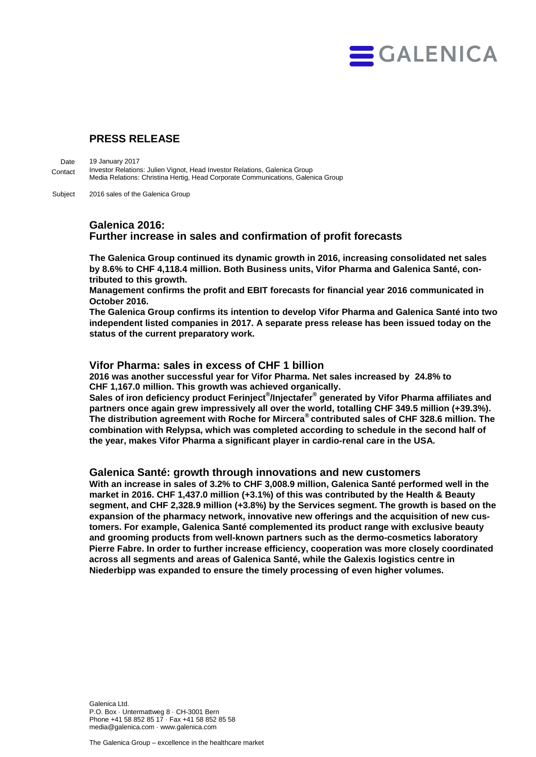

# **PRESS RELEASE**

19 January 2017 Investor Relations: Julien Vignot, Head Investor Relations, Galenica Group Media Relations: Christina Hertig, Head Corporate Communications, Galenica Group Date Contact

2016 sales of the Galenica Group Subject

## **Galenica 2016: Further increase in sales and confirmation of profit forecasts**

**The Galenica Group continued its dynamic growth in 2016, increasing consolidated net sales by 8.6% to CHF 4,118.4 million. Both Business units, Vifor Pharma and Galenica Santé, contributed to this growth.** 

**Management confirms the profit and EBIT forecasts for financial year 2016 communicated in October 2016.** 

**The Galenica Group confirms its intention to develop Vifor Pharma and Galenica Santé into two independent listed companies in 2017. A separate press release has been issued today on the status of the current preparatory work.**

### **Vifor Pharma: sales in excess of CHF 1 billion**

**2016 was another successful year for Vifor Pharma. Net sales increased by 24.8% to CHF 1,167.0 million. This growth was achieved organically.**

**Sales of iron deficiency product Ferinject® /Injectafer® generated by Vifor Pharma affiliates and partners once again grew impressively all over the world, totalling CHF 349.5 million (+39.3%). The distribution agreement with Roche for Mircera® contributed sales of CHF 328.6 million. The combination with Relypsa, which was completed according to schedule in the second half of the year, makes Vifor Pharma a significant player in cardio-renal care in the USA.**

### **Galenica Santé: growth through innovations and new customers**

**With an increase in sales of 3.2% to CHF 3,008.9 million, Galenica Santé performed well in the market in 2016. CHF 1,437.0 million (+3.1%) of this was contributed by the Health & Beauty segment, and CHF 2,328.9 million (+3.8%) by the Services segment. The growth is based on the expansion of the pharmacy network, innovative new offerings and the acquisition of new customers. For example, Galenica Santé complemented its product range with exclusive beauty and grooming products from well-known partners such as the dermo-cosmetics laboratory Pierre Fabre. In order to further increase efficiency, cooperation was more closely coordinated across all segments and areas of Galenica Santé, while the Galexis logistics centre in Niederbipp was expanded to ensure the timely processing of even higher volumes.**

Galenica Ltd. P.O. Box · Untermattweg 8 · CH-3001 Bern Phone +41 58 852 85 17 · Fax +41 58 852 85 58 media@galenica.com · www.galenica.com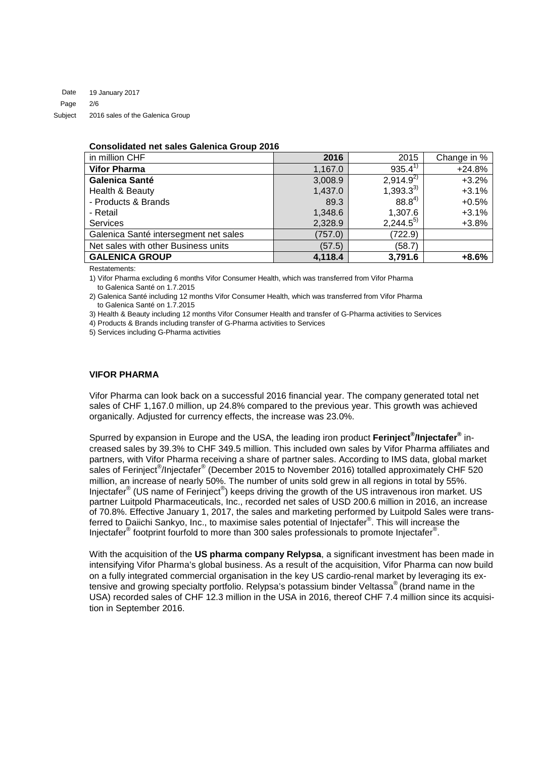#### **Consolidated net sales Galenica Group 2016**

| in million CHF                        | 2016    | 2015                  | Change in % |
|---------------------------------------|---------|-----------------------|-------------|
| <b>Vifor Pharma</b>                   | 1,167.0 | $935.4^{\frac{1}{2}}$ | $+24.8%$    |
| Galenica Santé                        | 3,008.9 | $2,914.9^{2}$         | $+3.2%$     |
| Health & Beauty                       | 1,437.0 | $1,393.3^{3}$         | $+3.1%$     |
| - Products & Brands                   | 89.3    | $88.8^{4}$            | $+0.5%$     |
| - Retail                              | 1,348.6 | 1,307.6               | $+3.1%$     |
| <b>Services</b>                       | 2,328.9 | $2,244.5^{5}$         | $+3.8%$     |
| Galenica Santé intersegment net sales | (757.0) | (722.9)               |             |
| Net sales with other Business units   | (57.5)  | (58.7)                |             |
| <b>GALENICA GROUP</b>                 | 4,118.4 | 3,791.6               | $+8.6%$     |

Restatements:

1) Vifor Pharma excluding 6 months Vifor Consumer Health, which was transferred from Vifor Pharma to Galenica Santé on 1.7.2015

2) Galenica Santé including 12 months Vifor Consumer Health, which was transferred from Vifor Pharma to Galenica Santé on 1.7.2015

3) Health & Beauty including 12 months Vifor Consumer Health and transfer of G-Pharma activities to Services

4) Products & Brands including transfer of G-Pharma activities to Services

5) Services including G-Pharma activities

#### **VIFOR PHARMA**

Vifor Pharma can look back on a successful 2016 financial year. The company generated total net sales of CHF 1,167.0 million, up 24.8% compared to the previous year. This growth was achieved organically. Adjusted for currency effects, the increase was 23.0%.

Spurred by expansion in Europe and the USA, the leading iron product **Ferinject® /Injectafer®** increased sales by 39.3% to CHF 349.5 million. This included own sales by Vifor Pharma affiliates and partners, with Vifor Pharma receiving a share of partner sales. According to IMS data, global market sales of Ferinject<sup>®</sup>/Injectafer® (December 2015 to November 2016) totalled approximately CHF 520 million, an increase of nearly 50%. The number of units sold grew in all regions in total by 55%. Injectafer<sup>®</sup> (US name of Ferinject<sup>®</sup>) keeps driving the growth of the US intravenous iron market. US partner Luitpold Pharmaceuticals, Inc., recorded net sales of USD 200.6 million in 2016, an increase of 70.8%. Effective January 1, 2017, the sales and marketing performed by Luitpold Sales were transferred to Daiichi Sankyo, Inc., to maximise sales potential of Injectafer<sup>®</sup>. This will increase the Injectafer® footprint fourfold to more than 300 sales professionals to promote Injectafer® .

With the acquisition of the **US pharma company Relypsa**, a significant investment has been made in intensifying Vifor Pharma's global business. As a result of the acquisition, Vifor Pharma can now build on a fully integrated commercial organisation in the key US cardio-renal market by leveraging its extensive and growing specialty portfolio. Relypsa's potassium binder Veltassa® (brand name in the USA) recorded sales of CHF 12.3 million in the USA in 2016, thereof CHF 7.4 million since its acquisition in September 2016.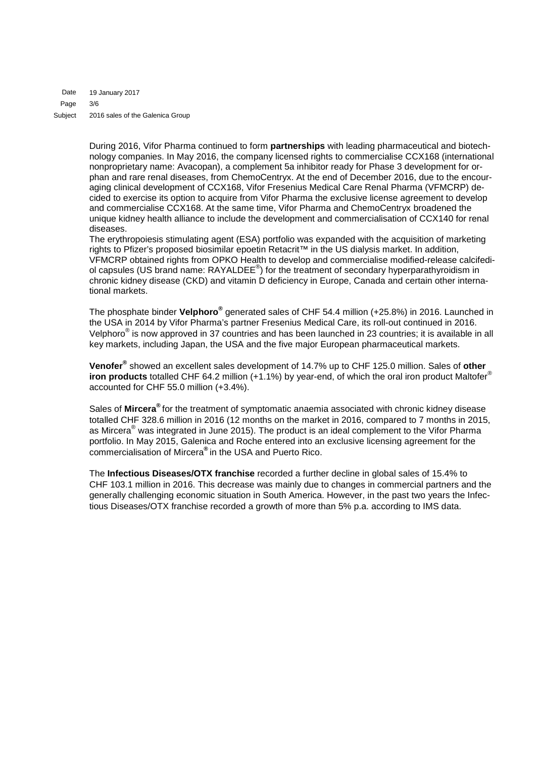19 January 2017 3/6 2016 sales of the Galenica Group Date Page Subject

> During 2016, Vifor Pharma continued to form **partnerships** with leading pharmaceutical and biotechnology companies. In May 2016, the company licensed rights to commercialise CCX168 (international nonproprietary name: Avacopan), a complement 5a inhibitor ready for Phase 3 development for orphan and rare renal diseases, from ChemoCentryx. At the end of December 2016, due to the encouraging clinical development of CCX168, Vifor Fresenius Medical Care Renal Pharma (VFMCRP) decided to exercise its option to acquire from Vifor Pharma the exclusive license agreement to develop and commercialise CCX168. At the same time, Vifor Pharma and ChemoCentryx broadened the unique kidney health alliance to include the development and commercialisation of CCX140 for renal diseases.

> The erythropoiesis stimulating agent (ESA) portfolio was expanded with the acquisition of marketing rights to Pfizer's proposed biosimilar epoetin Retacrit™ in the US dialysis market. In addition, VFMCRP obtained rights from OPKO Health to develop and commercialise modified-release calcifediol capsules (US brand name: RAYALDEE<sup>®</sup>) for the treatment of secondary hyperparathyroidism in chronic kidney disease (CKD) and vitamin D deficiency in Europe, Canada and certain other international markets.

> The phosphate binder **Velphoro®** generated sales of CHF 54.4 million (+25.8%) in 2016. Launched in the USA in 2014 by Vifor Pharma's partner Fresenius Medical Care, its roll-out continued in 2016. Velphoro® is now approved in 37 countries and has been launched in 23 countries; it is available in all key markets, including Japan, the USA and the five major European pharmaceutical markets.

> **Venofer®** showed an excellent sales development of 14.7% up to CHF 125.0 million. Sales of **other iron products** totalled CHF 64.2 million (+1.1%) by year-end, of which the oral iron product Maltofer® accounted for CHF 55.0 million (+3.4%).

> Sales of **Mircera®** for the treatment of symptomatic anaemia associated with chronic kidney disease totalled CHF 328.6 million in 2016 (12 months on the market in 2016, compared to 7 months in 2015, as Mircera<sup>®</sup> was integrated in June 2015). The product is an ideal complement to the Vifor Pharma portfolio. In May 2015, Galenica and Roche entered into an exclusive licensing agreement for the commercialisation of Mircera**®** in the USA and Puerto Rico.

> The **Infectious Diseases/OTX franchise** recorded a further decline in global sales of 15.4% to CHF 103.1 million in 2016. This decrease was mainly due to changes in commercial partners and the generally challenging economic situation in South America. However, in the past two years the Infectious Diseases/OTX franchise recorded a growth of more than 5% p.a. according to IMS data.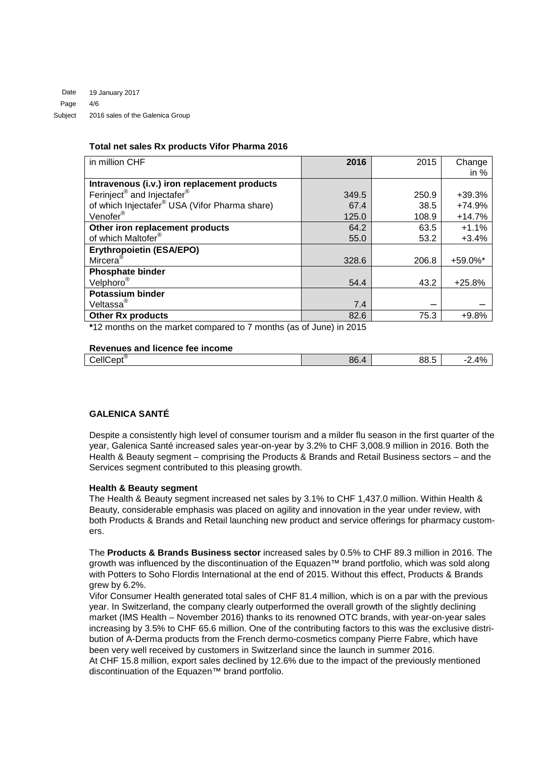### **Total net sales Rx products Vifor Pharma 2016**

| in million CHF                                            | 2016  | 2015  | Change   |
|-----------------------------------------------------------|-------|-------|----------|
|                                                           |       |       | in $%$   |
| Intravenous (i.v.) iron replacement products              |       |       |          |
| Ferinject <sup>®</sup> and Injectafer <sup>®</sup>        | 349.5 | 250.9 | $+39.3%$ |
| of which Injectafer <sup>®</sup> USA (Vifor Pharma share) | 67.4  | 38.5  | $+74.9%$ |
| Venofer <sup>®</sup>                                      | 125.0 | 108.9 | $+14.7%$ |
| Other iron replacement products                           | 64.2  | 63.5  | $+1.1%$  |
| of which Maltofer®                                        | 55.0  | 53.2  | $+3.4%$  |
| <b>Erythropoietin (ESA/EPO)</b>                           |       |       |          |
| Mircera <sup>®</sup>                                      | 328.6 | 206.8 | +59.0%*  |
| <b>Phosphate binder</b>                                   |       |       |          |
| Velphoro <sup>®</sup>                                     | 54.4  | 43.2  | $+25.8%$ |
| <b>Potassium binder</b>                                   |       |       |          |
| Veltassa <sup>®</sup>                                     | 7.4   |       |          |
| <b>Other Rx products</b>                                  | 82.6  | 75.3  | $+9.8%$  |

**\***12 months on the market compared to 7 months (as of June) in 2015

### **Revenues and licence fee income**

| $\mathsf{Lept}^\circledast$<br>$:$ ell $\cap$<br>- | 86. | -<br>ΩR<br>∪∪.∪ | $\sqrt{2}$<br><u>.</u> |
|----------------------------------------------------|-----|-----------------|------------------------|
|                                                    |     |                 |                        |

# **GALENICA SANTÉ**

Despite a consistently high level of consumer tourism and a milder flu season in the first quarter of the year, Galenica Santé increased sales year-on-year by 3.2% to CHF 3,008.9 million in 2016. Both the Health & Beauty segment – comprising the Products & Brands and Retail Business sectors – and the Services segment contributed to this pleasing growth.

#### **Health & Beauty segment**

The Health & Beauty segment increased net sales by 3.1% to CHF 1,437.0 million. Within Health & Beauty, considerable emphasis was placed on agility and innovation in the year under review, with both Products & Brands and Retail launching new product and service offerings for pharmacy customers.

The **Products & Brands Business sector** increased sales by 0.5% to CHF 89.3 million in 2016. The growth was influenced by the discontinuation of the Equazen™ brand portfolio, which was sold along with Potters to Soho Flordis International at the end of 2015. Without this effect, Products & Brands grew by 6.2%.

Vifor Consumer Health generated total sales of CHF 81.4 million, which is on a par with the previous year. In Switzerland, the company clearly outperformed the overall growth of the slightly declining market (IMS Health – November 2016) thanks to its renowned OTC brands, with year-on-year sales increasing by 3.5% to CHF 65.6 million. One of the contributing factors to this was the exclusive distribution of A-Derma products from the French dermo-cosmetics company Pierre Fabre, which have been very well received by customers in Switzerland since the launch in summer 2016. At CHF 15.8 million, export sales declined by 12.6% due to the impact of the previously mentioned discontinuation of the Equazen™ brand portfolio.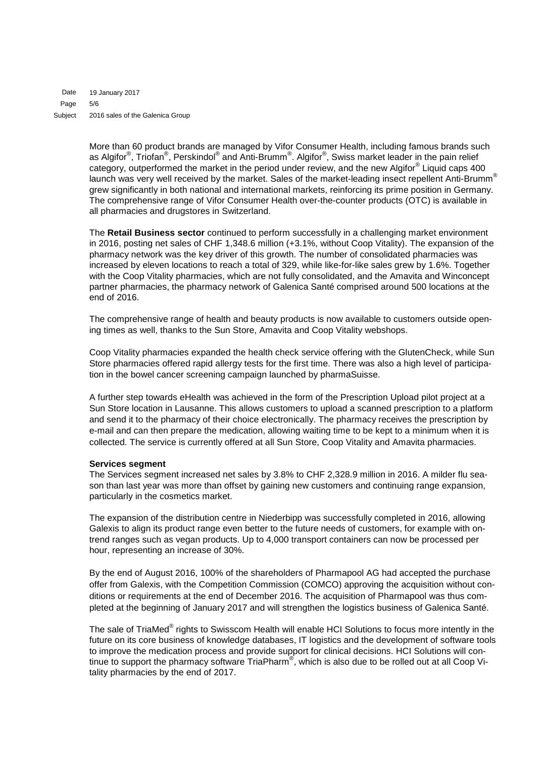19 January 2017 5/6 2016 sales of the Galenica Group Date Page Subject

> More than 60 product brands are managed by Vifor Consumer Health, including famous brands such as Algifor®, Triofan®, Perskindol® and Anti-Brumm®. Algifor®, Swiss market leader in the pain relief category, outperformed the market in the period under review, and the new Algifor® Liquid caps 400 launch was very well received by the market. Sales of the market-leading insect repellent Anti-Brumm® grew significantly in both national and international markets, reinforcing its prime position in Germany. The comprehensive range of Vifor Consumer Health over-the-counter products (OTC) is available in all pharmacies and drugstores in Switzerland.

> The **Retail Business sector** continued to perform successfully in a challenging market environment in 2016, posting net sales of CHF 1,348.6 million (+3.1%, without Coop Vitality). The expansion of the pharmacy network was the key driver of this growth. The number of consolidated pharmacies was increased by eleven locations to reach a total of 329, while like-for-like sales grew by 1.6%. Together with the Coop Vitality pharmacies, which are not fully consolidated, and the Amavita and Winconcept partner pharmacies, the pharmacy network of Galenica Santé comprised around 500 locations at the end of 2016.

> The comprehensive range of health and beauty products is now available to customers outside opening times as well, thanks to the Sun Store, Amavita and Coop Vitality webshops.

> Coop Vitality pharmacies expanded the health check service offering with the GlutenCheck, while Sun Store pharmacies offered rapid allergy tests for the first time. There was also a high level of participation in the bowel cancer screening campaign launched by pharmaSuisse.

> A further step towards eHealth was achieved in the form of the Prescription Upload pilot project at a Sun Store location in Lausanne. This allows customers to upload a scanned prescription to a platform and send it to the pharmacy of their choice electronically. The pharmacy receives the prescription by e-mail and can then prepare the medication, allowing waiting time to be kept to a minimum when it is collected. The service is currently offered at all Sun Store, Coop Vitality and Amavita pharmacies.

#### **Services segment**

The Services segment increased net sales by 3.8% to CHF 2,328.9 million in 2016. A milder flu season than last year was more than offset by gaining new customers and continuing range expansion, particularly in the cosmetics market.

The expansion of the distribution centre in Niederbipp was successfully completed in 2016, allowing Galexis to align its product range even better to the future needs of customers, for example with ontrend ranges such as vegan products. Up to 4,000 transport containers can now be processed per hour, representing an increase of 30%.

By the end of August 2016, 100% of the shareholders of Pharmapool AG had accepted the purchase offer from Galexis, with the Competition Commission (COMCO) approving the acquisition without conditions or requirements at the end of December 2016. The acquisition of Pharmapool was thus completed at the beginning of January 2017 and will strengthen the logistics business of Galenica Santé.

The sale of TriaMed<sup>®</sup> rights to Swisscom Health will enable HCI Solutions to focus more intently in the future on its core business of knowledge databases, IT logistics and the development of software tools to improve the medication process and provide support for clinical decisions. HCI Solutions will continue to support the pharmacy software TriaPharm®, which is also due to be rolled out at all Coop Vitality pharmacies by the end of 2017.